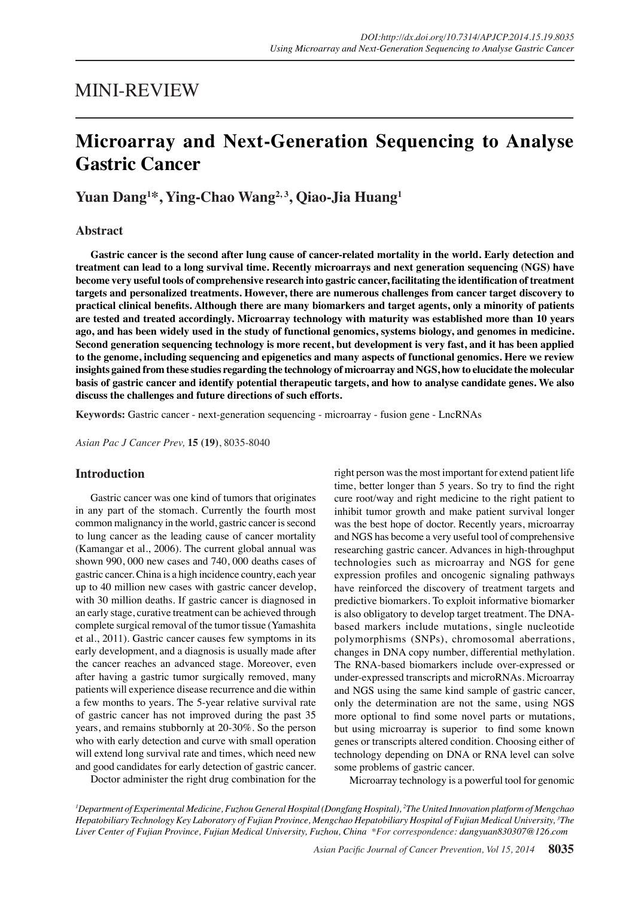## MINI-REVIEW

# **Microarray and Next-Generation Sequencing to Analyse Gastric Cancer**

**Yuan Dang1 \*, Ying-Chao Wang2, 3, Qiao-Jia Huang1**

## **Abstract**

**Gastric cancer is the second after lung cause of cancer-related mortality in the world. Early detection and treatment can lead to a long survival time. Recently microarrays and next generation sequencing (NGS) have become very useful tools of comprehensive research into gastric cancer, facilitating the identification of treatment targets and personalized treatments. However, there are numerous challenges from cancer target discovery to practical clinical benefits. Although there are many biomarkers and target agents, only a minority of patients are tested and treated accordingly. Microarray technology with maturity was established more than 10 years ago, and has been widely used in the study of functional genomics, systems biology, and genomes in medicine. Second generation sequencing technology is more recent, but development is very fast, and it has been applied to the genome, including sequencing and epigenetics and many aspects of functional genomics. Here we review insights gained from these studies regarding the technology of microarray and NGS, how to elucidate the molecular basis of gastric cancer and identify potential therapeutic targets, and how to analyse candidate genes. We also discuss the challenges and future directions of such efforts.**

**Keywords:** Gastric cancer - next-generation sequencing - microarray - fusion gene - LncRNAs

*Asian Pac J Cancer Prev,* **15 (19)**, 8035-8040

## **Introduction**

Gastric cancer was one kind of tumors that originates in any part of the stomach. Currently the fourth most common malignancy in the world, gastric cancer is second to lung cancer as the leading cause of cancer mortality (Kamangar et al., 2006). The current global annual was shown 990, 000 new cases and 740, 000 deaths cases of gastric cancer. China is a high incidence country, each year up to 40 million new cases with gastric cancer develop, with 30 million deaths. If gastric cancer is diagnosed in an early stage, curative treatment can be achieved through complete surgical removal of the tumor tissue (Yamashita et al., 2011). Gastric cancer causes few symptoms in its early development, and a diagnosis is usually made after the cancer reaches an advanced stage. Moreover, even after having a gastric tumor surgically removed, many patients will experience disease recurrence and die within a few months to years. The 5-year relative survival rate of gastric cancer has not improved during the past 35 years, and remains stubbornly at 20-30%. So the person who with early detection and curve with small operation will extend long survival rate and times, which need new and good candidates for early detection of gastric cancer.

right person was the most important for extend patient life time, better longer than 5 years. So try to find the right cure root/way and right medicine to the right patient to inhibit tumor growth and make patient survival longer was the best hope of doctor. Recently years, microarray and NGS has become a very useful tool of comprehensive researching gastric cancer. Advances in high-throughput technologies such as microarray and NGS for gene expression profiles and oncogenic signaling pathways have reinforced the discovery of treatment targets and predictive biomarkers. To exploit informative biomarker is also obligatory to develop target treatment. The DNAbased markers include mutations, single nucleotide polymorphisms (SNPs), chromosomal aberrations, changes in DNA copy number, differential methylation. The RNA-based biomarkers include over-expressed or under-expressed transcripts and microRNAs. Microarray and NGS using the same kind sample of gastric cancer, only the determination are not the same, using NGS more optional to find some novel parts or mutations, but using microarray is superior to find some known genes or transcripts altered condition. Choosing either of technology depending on DNA or RNA level can solve some problems of gastric cancer.

Doctor administer the right drug combination for the

Microarray technology is a powerful tool for genomic

*1 Department of Experimental Medicine, Fuzhou General Hospital (Dongfang Hospital), 2 The United Innovation platform of Mengchao Hepatobiliary Technology Key Laboratory of Fujian Province, Mengchao Hepatobiliary Hospital of Fujian Medical University, 3 The Liver Center of Fujian Province, Fujian Medical University, Fuzhou, China \*For correspondence: dangyuan830307@126.com*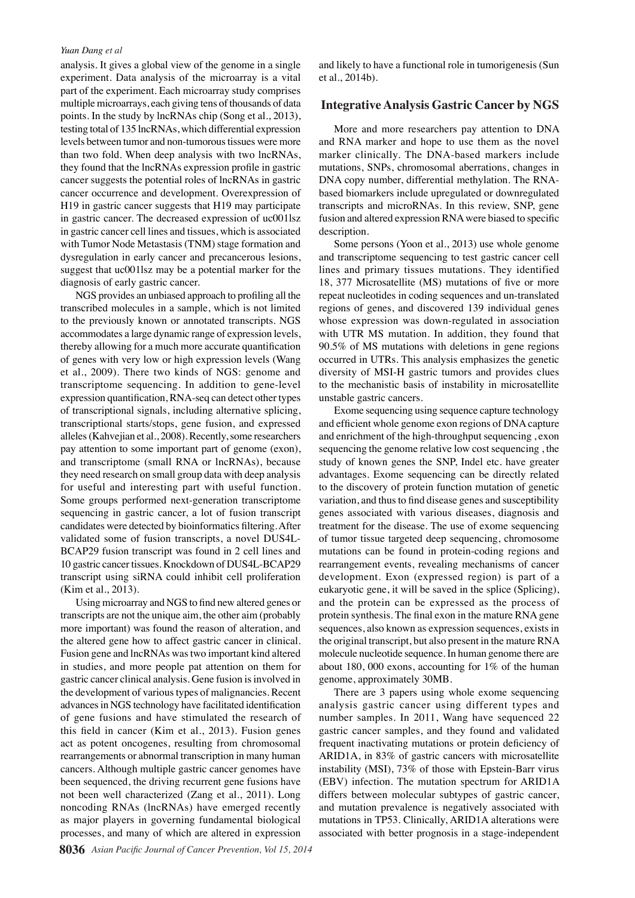#### *Yuan Dang et al*

analysis. It gives a global view of the genome in a single experiment. Data analysis of the microarray is a vital part of the experiment. Each microarray study comprises multiple microarrays, each giving tens of thousands of data points. In the study by lncRNAs chip (Song et al., 2013), testing total of 135 lncRNAs, which differential expression levels between tumor and non-tumorous tissues were more than two fold. When deep analysis with two lncRNAs, they found that the lncRNAs expression profile in gastric cancer suggests the potential roles of lncRNAs in gastric cancer occurrence and development. Overexpression of H19 in gastric cancer suggests that H19 may participate in gastric cancer. The decreased expression of uc001lsz in gastric cancer cell lines and tissues, which is associated with Tumor Node Metastasis (TNM) stage formation and dysregulation in early cancer and precancerous lesions, suggest that uc001lsz may be a potential marker for the diagnosis of early gastric cancer.

NGS provides an unbiased approach to profiling all the transcribed molecules in a sample, which is not limited to the previously known or annotated transcripts. NGS accommodates a large dynamic range of expression levels, thereby allowing for a much more accurate quantification of genes with very low or high expression levels (Wang et al., 2009). There two kinds of NGS: genome and transcriptome sequencing. In addition to gene-level expression quantification, RNA-seq can detect other types of transcriptional signals, including alternative splicing, transcriptional starts/stops, gene fusion, and expressed alleles (Kahvejian et al., 2008). Recently, some researchers pay attention to some important part of genome (exon), and transcriptome (small RNA or lncRNAs), because they need research on small group data with deep analysis for useful and interesting part with useful function. Some groups performed next-generation transcriptome sequencing in gastric cancer, a lot of fusion transcript candidates were detected by bioinformatics filtering. After validated some of fusion transcripts, a novel DUS4L-BCAP29 fusion transcript was found in 2 cell lines and 10 gastric cancer tissues. Knockdown of DUS4L-BCAP29 transcript using siRNA could inhibit cell proliferation (Kim et al., 2013).

Using microarray and NGS to find new altered genes or transcripts are not the unique aim, the other aim (probably more important) was found the reason of alteration, and the altered gene how to affect gastric cancer in clinical. Fusion gene and lncRNAs was two important kind altered in studies, and more people pat attention on them for gastric cancer clinical analysis. Gene fusion is involved in the development of various types of malignancies. Recent advances in NGS technology have facilitated identification of gene fusions and have stimulated the research of this field in cancer (Kim et al., 2013). Fusion genes act as potent oncogenes, resulting from chromosomal rearrangements or abnormal transcription in many human cancers. Although multiple gastric cancer genomes have been sequenced, the driving recurrent gene fusions have not been well characterized (Zang et al., 2011). Long noncoding RNAs (lncRNAs) have emerged recently as major players in governing fundamental biological processes, and many of which are altered in expression

and likely to have a functional role in tumorigenesis (Sun et al., 2014b).

#### **Integrative Analysis Gastric Cancer by NGS**

More and more researchers pay attention to DNA and RNA marker and hope to use them as the novel marker clinically. The DNA-based markers include mutations, SNPs, chromosomal aberrations, changes in DNA copy number, differential methylation. The RNAbased biomarkers include upregulated or downregulated transcripts and microRNAs. In this review, SNP, gene fusion and altered expression RNA were biased to specific description.

Some persons (Yoon et al., 2013) use whole genome and transcriptome sequencing to test gastric cancer cell lines and primary tissues mutations. They identified 18, 377 Microsatellite (MS) mutations of five or more repeat nucleotides in coding sequences and un-translated regions of genes, and discovered 139 individual genes whose expression was down-regulated in association with UTR MS mutation. In addition, they found that 90.5% of MS mutations with deletions in gene regions occurred in UTRs. This analysis emphasizes the genetic diversity of MSI-H gastric tumors and provides clues to the mechanistic basis of instability in microsatellite unstable gastric cancers.

Exome sequencing using sequence capture technology and efficient whole genome exon regions of DNA capture and enrichment of the high-throughput sequencing , exon sequencing the genome relative low cost sequencing , the study of known genes the SNP, Indel etc. have greater advantages. Exome sequencing can be directly related to the discovery of protein function mutation of genetic variation, and thus to find disease genes and susceptibility genes associated with various diseases, diagnosis and treatment for the disease. The use of exome sequencing of tumor tissue targeted deep sequencing, chromosome mutations can be found in protein-coding regions and rearrangement events, revealing mechanisms of cancer development. Exon (expressed region) is part of a eukaryotic gene, it will be saved in the splice (Splicing), and the protein can be expressed as the process of protein synthesis. The final exon in the mature RNA gene sequences, also known as expression sequences, exists in the original transcript, but also present in the mature RNA molecule nucleotide sequence. In human genome there are about 180, 000 exons, accounting for 1% of the human genome, approximately 30MB.

There are 3 papers using whole exome sequencing analysis gastric cancer using different types and number samples. In 2011, Wang have sequenced 22 gastric cancer samples, and they found and validated frequent inactivating mutations or protein deficiency of ARID1A, in 83% of gastric cancers with microsatellite instability (MSI), 73% of those with Epstein-Barr virus (EBV) infection. The mutation spectrum for ARID1A differs between molecular subtypes of gastric cancer, and mutation prevalence is negatively associated with mutations in TP53. Clinically, ARID1A alterations were associated with better prognosis in a stage-independent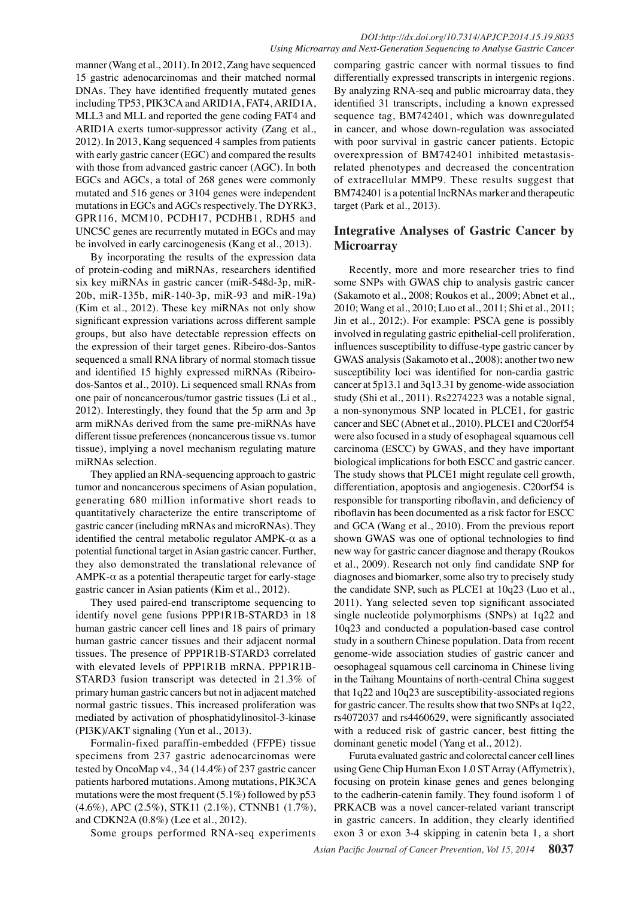manner (Wang et al., 2011). In 2012, Zang have sequenced 15 gastric adenocarcinomas and their matched normal DNAs. They have identified frequently mutated genes including TP53, PIK3CA and ARID1A, FAT4, ARID1A, MLL3 and MLL and reported the gene coding FAT4 and ARID1A exerts tumor-suppressor activity (Zang et al., 2012). In 2013, Kang sequenced 4 samples from patients with early gastric cancer (EGC) and compared the results with those from advanced gastric cancer (AGC). In both EGCs and AGCs, a total of 268 genes were commonly mutated and 516 genes or 3104 genes were independent mutations in EGCs and AGCs respectively. The DYRK3, GPR116, MCM10, PCDH17, PCDHB1, RDH5 and UNC5C genes are recurrently mutated in EGCs and may be involved in early carcinogenesis (Kang et al., 2013).

By incorporating the results of the expression data of protein-coding and miRNAs, researchers identified six key miRNAs in gastric cancer (miR-548d-3p, miR-20b, miR-135b, miR-140-3p, miR-93 and miR-19a) (Kim et al., 2012). These key miRNAs not only show significant expression variations across different sample groups, but also have detectable repression effects on the expression of their target genes. Ribeiro-dos-Santos sequenced a small RNA library of normal stomach tissue and identified 15 highly expressed miRNAs (Ribeirodos-Santos et al., 2010). Li sequenced small RNAs from one pair of noncancerous/tumor gastric tissues (Li et al., 2012). Interestingly, they found that the 5p arm and 3p arm miRNAs derived from the same pre-miRNAs have different tissue preferences (noncancerous tissue vs. tumor tissue), implying a novel mechanism regulating mature miRNAs selection.

They applied an RNA-sequencing approach to gastric tumor and noncancerous specimens of Asian population, generating 680 million informative short reads to quantitatively characterize the entire transcriptome of gastric cancer (including mRNAs and microRNAs). They identified the central metabolic regulator  $AMPK-\alpha$  as a potential functional target in Asian gastric cancer. Further, they also demonstrated the translational relevance of AMPK-α as a potential therapeutic target for early-stage gastric cancer in Asian patients (Kim et al., 2012).

They used paired-end transcriptome sequencing to identify novel gene fusions PPP1R1B-STARD3 in 18 human gastric cancer cell lines and 18 pairs of primary human gastric cancer tissues and their adjacent normal tissues. The presence of PPP1R1B-STARD3 correlated with elevated levels of PPP1R1B mRNA. PPP1R1B-STARD3 fusion transcript was detected in 21.3% of primary human gastric cancers but not in adjacent matched normal gastric tissues. This increased proliferation was mediated by activation of phosphatidylinositol-3-kinase (PI3K)/AKT signaling (Yun et al., 2013).

Formalin-fixed paraffin-embedded (FFPE) tissue specimens from 237 gastric adenocarcinomas were tested by OncoMap v4., 34 (14.4%) of 237 gastric cancer patients harbored mutations. Among mutations, PIK3CA mutations were the most frequent  $(5.1\%)$  followed by p53 (4.6%), APC (2.5%), STK11 (2.1%), CTNNB1 (1.7%), and CDKN2A (0.8%) (Lee et al., 2012).

Some groups performed RNA-seq experiments

comparing gastric cancer with normal tissues to find differentially expressed transcripts in intergenic regions. By analyzing RNA-seq and public microarray data, they identified 31 transcripts, including a known expressed sequence tag, BM742401, which was downregulated in cancer, and whose down-regulation was associated with poor survival in gastric cancer patients. Ectopic overexpression of BM742401 inhibited metastasisrelated phenotypes and decreased the concentration of extracellular MMP9. These results suggest that BM742401 is a potential lncRNAs marker and therapeutic target (Park et al., 2013).

## **Integrative Analyses of Gastric Cancer by Microarray**

Recently, more and more researcher tries to find some SNPs with GWAS chip to analysis gastric cancer (Sakamoto et al., 2008; Roukos et al., 2009; Abnet et al., 2010; Wang et al., 2010; Luo et al., 2011; Shi et al., 2011; Jin et al., 2012;). For example: PSCA gene is possibly involved in regulating gastric epithelial-cell proliferation, influences susceptibility to diffuse-type gastric cancer by GWAS analysis (Sakamoto et al., 2008); another two new susceptibility loci was identified for non-cardia gastric cancer at 5p13.1 and 3q13.31 by genome-wide association study (Shi et al., 2011). Rs2274223 was a notable signal, a non-synonymous SNP located in PLCE1, for gastric cancer and SEC (Abnet et al., 2010). PLCE1 and C20orf54 were also focused in a study of esophageal squamous cell carcinoma (ESCC) by GWAS, and they have important biological implications for both ESCC and gastric cancer. The study shows that PLCE1 might regulate cell growth, differentiation, apoptosis and angiogenesis. C20orf54 is responsible for transporting riboflavin, and deficiency of riboflavin has been documented as a risk factor for ESCC and GCA (Wang et al., 2010). From the previous report shown GWAS was one of optional technologies to find new way for gastric cancer diagnose and therapy (Roukos et al., 2009). Research not only find candidate SNP for diagnoses and biomarker, some also try to precisely study the candidate SNP, such as PLCE1 at 10q23 (Luo et al., 2011). Yang selected seven top significant associated single nucleotide polymorphisms (SNPs) at 1q22 and 10q23 and conducted a population-based case control study in a southern Chinese population. Data from recent genome-wide association studies of gastric cancer and oesophageal squamous cell carcinoma in Chinese living in the Taihang Mountains of north-central China suggest that 1q22 and 10q23 are susceptibility-associated regions for gastric cancer. The results show that two SNPs at 1q22, rs4072037 and rs4460629, were significantly associated with a reduced risk of gastric cancer, best fitting the dominant genetic model (Yang et al., 2012).

Furuta evaluated gastric and colorectal cancer cell lines using Gene Chip Human Exon 1.0 ST Array (Affymetrix), focusing on protein kinase genes and genes belonging to the cadherin-catenin family. They found isoform 1 of PRKACB was a novel cancer-related variant transcript in gastric cancers. In addition, they clearly identified exon 3 or exon 3-4 skipping in catenin beta 1, a short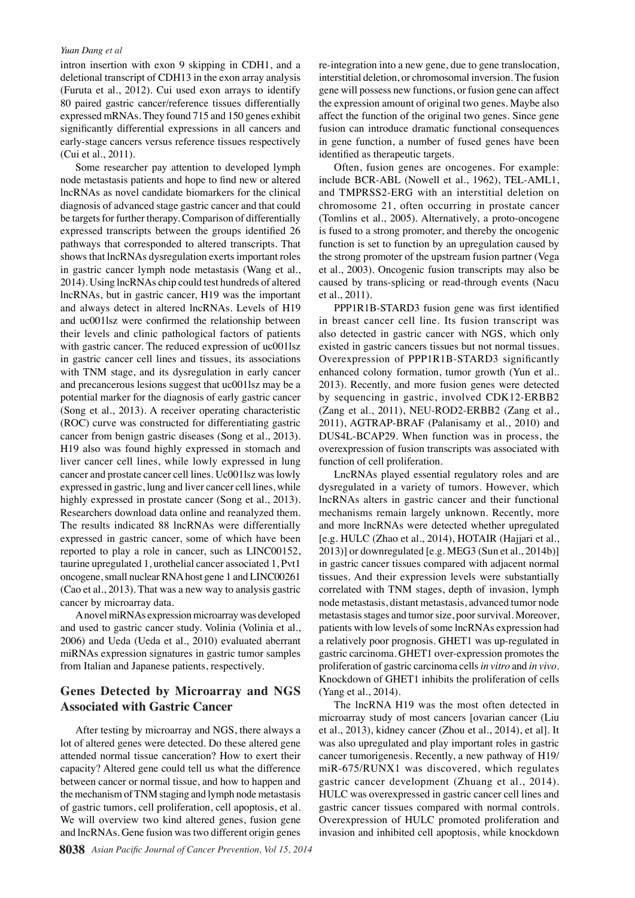#### *Yuan Dang et al*

intron insertion with exon 9 skipping in CDH1, and a deletional transcript of CDH13 in the exon array analysis (Furuta et al., 2012). Cui used exon arrays to identify 80 paired gastric cancer/reference tissues differentially expressed mRNAs. They found 715 and 150 genes exhibit significantly differential expressions in all cancers and early-stage cancers versus reference tissues respectively (Cui et al., 2011).

Some researcher pay attention to developed lymph node metastasis patients and hope to find new or altered lncRNAs as novel candidate biomarkers for the clinical diagnosis of advanced stage gastric cancer and that could be targets for further therapy. Comparison of differentially expressed transcripts between the groups identified 26 pathways that corresponded to altered transcripts. That shows that lncRNAs dysregulation exerts important roles in gastric cancer lymph node metastasis (Wang et al., 2014). Using lncRNAs chip could test hundreds of altered lncRNAs, but in gastric cancer, H19 was the important and always detect in altered lncRNAs. Levels of H19 and uc001lsz were confirmed the relationship between their levels and clinic pathological factors of patients with gastric cancer. The reduced expression of uc001lsz in gastric cancer cell lines and tissues, its associations with TNM stage, and its dysregulation in early cancer and precancerous lesions suggest that uc001lsz may be a potential marker for the diagnosis of early gastric cancer (Song et al., 2013). A receiver operating characteristic (ROC) curve was constructed for differentiating gastric cancer from benign gastric diseases (Song et al., 2013). H19 also was found highly expressed in stomach and liver cancer cell lines, while lowly expressed in lung cancer and prostate cancer cell lines. Uc001lsz was lowly expressed in gastric, lung and liver cancer cell lines, while highly expressed in prostate cancer (Song et al., 2013). Researchers download data online and reanalyzed them. The results indicated 88 lncRNAs were differentially expressed in gastric cancer, some of which have been reported to play a role in cancer, such as LINC00152, taurine upregulated 1, urothelial cancer associated 1, Pvt1 oncogene, small nuclear RNA host gene 1 and LINC00261 (Cao et al., 2013). That was a new way to analysis gastric cancer by microarray data.

A novel miRNAs expression microarray was developed and used to gastric cancer study. Volinia (Volinia et al., 2006) and Ueda (Ueda et al., 2010) evaluated aberrant miRNAs expression signatures in gastric tumor samples from Italian and Japanese patients, respectively.

## **Genes Detected by Microarray and NGS Associated with Gastric Cancer**

After testing by microarray and NGS, there always a lot of altered genes were detected. Do these altered gene attended normal tissue canceration? How to exert their capacity? Altered gene could tell us what the difference between cancer or normal tissue, and how to happen and the mechanism of TNM staging and lymph node metastasis of gastric tumors, cell proliferation, cell apoptosis, et al. We will overview two kind altered genes, fusion gene and lncRNAs. Gene fusion was two different origin genes

re-integration into a new gene, due to gene translocation, interstitial deletion, or chromosomal inversion. The fusion gene will possess new functions, or fusion gene can affect the expression amount of original two genes. Maybe also affect the function of the original two genes. Since gene fusion can introduce dramatic functional consequences in gene function, a number of fused genes have been identified as therapeutic targets.

Often, fusion genes are oncogenes. For example: include BCR-ABL (Nowell et al., 1962), TEL-AML1, and TMPRSS2-ERG with an interstitial deletion on chromosome 21, often occurring in prostate cancer (Tomlins et al., 2005). Alternatively, a proto-oncogene is fused to a strong promoter, and thereby the oncogenic function is set to function by an upregulation caused by the strong promoter of the upstream fusion partner (Vega et al., 2003). Oncogenic fusion transcripts may also be caused by trans-splicing or read-through events (Nacu et al., 2011).

PPP1R1B-STARD3 fusion gene was first identified in breast cancer cell line. Its fusion transcript was also detected in gastric cancer with NGS, which only existed in gastric cancers tissues but not normal tissues. Overexpression of PPP1R1B-STARD3 significantly enhanced colony formation, tumor growth (Yun et al.. 2013). Recently, and more fusion genes were detected by sequencing in gastric, involved CDK12-ERBB2 (Zang et al., 2011), NEU-ROD2-ERBB2 (Zang et al., 2011), AGTRAP-BRAF (Palanisamy et al., 2010) and DUS4L-BCAP29. When function was in process, the overexpression of fusion transcripts was associated with function of cell proliferation.

LncRNAs played essential regulatory roles and are dysregulated in a variety of tumors. However, which lncRNAs alters in gastric cancer and their functional mechanisms remain largely unknown. Recently, more and more lncRNAs were detected whether upregulated [e.g. HULC (Zhao et al., 2014), HOTAIR (Hajjari et al., 2013)] or downregulated [e.g. MEG3 (Sun et al., 2014b)] in gastric cancer tissues compared with adjacent normal tissues. And their expression levels were substantially correlated with TNM stages, depth of invasion, lymph node metastasis, distant metastasis, advanced tumor node metastasis stages and tumor size, poor survival. Moreover, patients with low levels of some lncRNAs expression had a relatively poor prognosis. GHET1 was up-regulated in gastric carcinoma. GHET1 over-expression promotes the proliferation of gastric carcinoma cells *in vitro* and *in vivo*. Knockdown of GHET1 inhibits the proliferation of cells (Yang et al., 2014).

The lncRNA H19 was the most often detected in microarray study of most cancers [ovarian cancer (Liu et al., 2013), kidney cancer (Zhou et al., 2014), et al]. It was also upregulated and play important roles in gastric cancer tumorigenesis. Recently, a new pathway of H19/ miR-675/RUNX1 was discovered, which regulates gastric cancer development (Zhuang et al., 2014). HULC was overexpressed in gastric cancer cell lines and gastric cancer tissues compared with normal controls. Overexpression of HULC promoted proliferation and invasion and inhibited cell apoptosis, while knockdown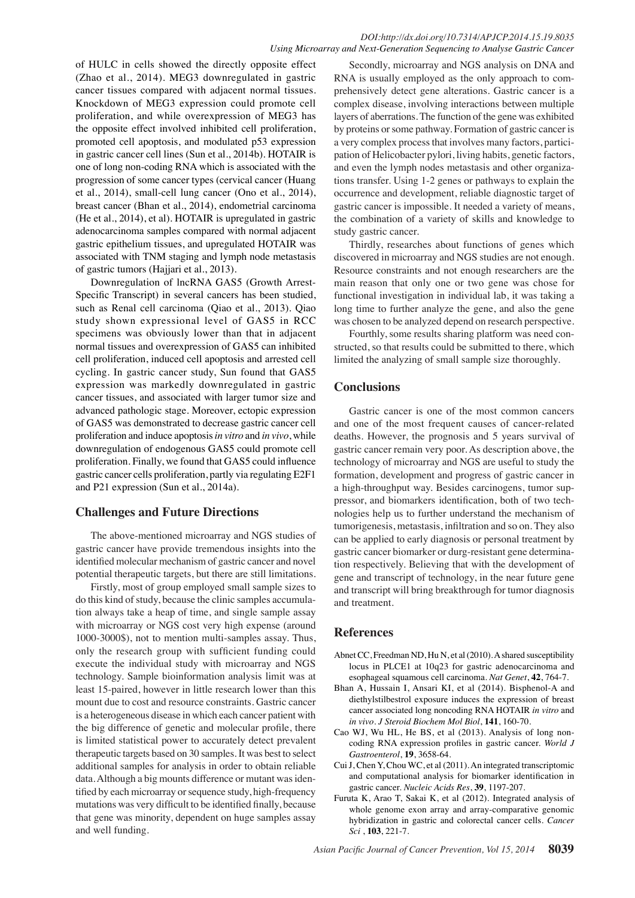#### *DOI:http://dx.doi.org/10.7314/APJCP.2014.15.19.8035 Using Microarray and Next-Generation Sequencing to Analyse Gastric Cancer*

of HULC in cells showed the directly opposite effect (Zhao et al., 2014). MEG3 downregulated in gastric cancer tissues compared with adjacent normal tissues. Knockdown of MEG3 expression could promote cell proliferation, and while overexpression of MEG3 has the opposite effect involved inhibited cell proliferation, promoted cell apoptosis, and modulated p53 expression in gastric cancer cell lines (Sun et al., 2014b). HOTAIR is one of long non-coding RNA which is associated with the progression of some cancer types (cervical cancer (Huang et al., 2014), small-cell lung cancer (Ono et al., 2014), breast cancer (Bhan et al., 2014), endometrial carcinoma (He et al., 2014), et al). HOTAIR is upregulated in gastric adenocarcinoma samples compared with normal adjacent gastric epithelium tissues, and upregulated HOTAIR was associated with TNM staging and lymph node metastasis of gastric tumors (Hajjari et al., 2013).

Downregulation of lncRNA GAS5 (Growth Arrest-Specific Transcript) in several cancers has been studied, such as Renal cell carcinoma (Qiao et al., 2013). Qiao study shown expressional level of GAS5 in RCC specimens was obviously lower than that in adjacent normal tissues and overexpression of GAS5 can inhibited cell proliferation, induced cell apoptosis and arrested cell cycling. In gastric cancer study, Sun found that GAS5 expression was markedly downregulated in gastric cancer tissues, and associated with larger tumor size and advanced pathologic stage. Moreover, ectopic expression of GAS5 was demonstrated to decrease gastric cancer cell proliferation and induce apoptosis *in vitro* and *in vivo*, while downregulation of endogenous GAS5 could promote cell proliferation. Finally, we found that GAS5 could influence gastric cancer cells proliferation, partly via regulating E2F1 and P21 expression (Sun et al., 2014a).

## **Challenges and Future Directions**

The above-mentioned microarray and NGS studies of gastric cancer have provide tremendous insights into the identified molecular mechanism of gastric cancer and novel potential therapeutic targets, but there are still limitations.

Firstly, most of group employed small sample sizes to do this kind of study, because the clinic samples accumulation always take a heap of time, and single sample assay with microarray or NGS cost very high expense (around 1000-3000\$), not to mention multi-samples assay. Thus, only the research group with sufficient funding could execute the individual study with microarray and NGS technology. Sample bioinformation analysis limit was at least 15-paired, however in little research lower than this mount due to cost and resource constraints. Gastric cancer is a heterogeneous disease in which each cancer patient with the big difference of genetic and molecular profile, there is limited statistical power to accurately detect prevalent therapeutic targets based on 30 samples. It was best to select additional samples for analysis in order to obtain reliable data. Although a big mounts difference or mutant was identified by each microarray or sequence study, high-frequency mutations was very difficult to be identified finally, because that gene was minority, dependent on huge samples assay and well funding.

Secondly, microarray and NGS analysis on DNA and RNA is usually employed as the only approach to comprehensively detect gene alterations. Gastric cancer is a complex disease, involving interactions between multiple layers of aberrations. The function of the gene was exhibited by proteins or some pathway. Formation of gastric cancer is a very complex process that involves many factors, participation of Helicobacter pylori, living habits, genetic factors, and even the lymph nodes metastasis and other organizations transfer. Using 1-2 genes or pathways to explain the occurrence and development, reliable diagnostic target of gastric cancer is impossible. It needed a variety of means, the combination of a variety of skills and knowledge to study gastric cancer.

Thirdly, researches about functions of genes which discovered in microarray and NGS studies are not enough. Resource constraints and not enough researchers are the main reason that only one or two gene was chose for functional investigation in individual lab, it was taking a long time to further analyze the gene, and also the gene was chosen to be analyzed depend on research perspective.

Fourthly, some results sharing platform was need constructed, so that results could be submitted to there, which limited the analyzing of small sample size thoroughly.

## **Conclusions**

Gastric cancer is one of the most common cancers and one of the most frequent causes of cancer-related deaths. However, the prognosis and 5 years survival of gastric cancer remain very poor. As description above, the technology of microarray and NGS are useful to study the formation, development and progress of gastric cancer in a high-throughput way. Besides carcinogens, tumor suppressor, and biomarkers identification, both of two technologies help us to further understand the mechanism of tumorigenesis, metastasis, infiltration and so on. They also can be applied to early diagnosis or personal treatment by gastric cancer biomarker or durg-resistant gene determination respectively. Believing that with the development of gene and transcript of technology, in the near future gene and transcript will bring breakthrough for tumor diagnosis and treatment.

### **References**

- Abnet CC, Freedman ND, Hu N, et al (2010). A shared susceptibility locus in PLCE1 at 10q23 for gastric adenocarcinoma and esophageal squamous cell carcinoma. *Nat Genet*, **42**, 764-7.
- Bhan A, Hussain I, Ansari KI, et al (2014). Bisphenol-A and diethylstilbestrol exposure induces the expression of breast cancer associated long noncoding RNA HOTAIR *in vitro* and *in vivo*. *J Steroid Biochem Mol Biol*, **141**, 160-70.
- Cao WJ, Wu HL, He BS, et al (2013). Analysis of long noncoding RNA expression profiles in gastric cancer. *World J Gastroenterol*, **19**, 3658-64.
- Cui J, Chen Y, Chou WC, et al (2011). An integrated transcriptomic and computational analysis for biomarker identification in gastric cancer. *Nucleic Acids Res*, **39**, 1197-207.
- Furuta K, Arao T, Sakai K, et al (2012). Integrated analysis of whole genome exon array and array-comparative genomic hybridization in gastric and colorectal cancer cells. *Cancer Sci* , **103**, 221-7.